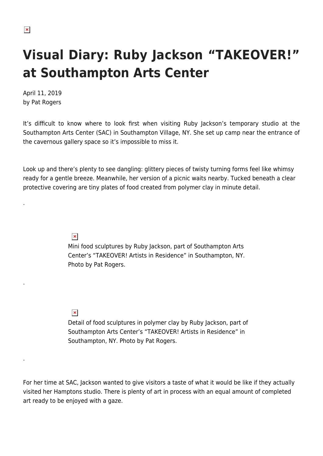.

.

.

# **Visual Diary: Ruby Jackson "TAKEOVER!" at Southampton Arts Center**

April 11, 2019 by Pat Rogers

It's difficult to know where to look first when visiting Ruby Jackson's temporary studio at the Southampton Arts Center (SAC) in Southampton Village, NY. She set up camp near the entrance of the cavernous gallery space so it's impossible to miss it.

Look up and there's plenty to see dangling: glittery pieces of twisty turning forms feel like whimsy ready for a gentle breeze. Meanwhile, her version of a picnic waits nearby. Tucked beneath a clear protective covering are tiny plates of food created from polymer clay in minute detail.

 $\pmb{\times}$ 

Mini food sculptures by Ruby Jackson, part of Southampton Arts Center's "TAKEOVER! Artists in Residence" in Southampton, NY. Photo by Pat Rogers.

## $\pmb{\times}$

Detail of food sculptures in polymer clay by Ruby Jackson, part of Southampton Arts Center's "TAKEOVER! Artists in Residence" in Southampton, NY. Photo by Pat Rogers.

For her time at SAC, Jackson wanted to give visitors a taste of what it would be like if they actually visited her Hamptons studio. There is plenty of art in process with an equal amount of completed art ready to be enjoyed with a gaze.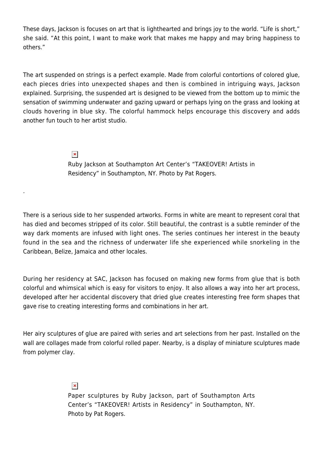These days, Jackson is focuses on art that is lighthearted and brings joy to the world. "Life is short," she said. "At this point, I want to make work that makes me happy and may bring happiness to others."

The art suspended on strings is a perfect example. Made from colorful contortions of colored glue, each pieces dries into unexpected shapes and then is combined in intriguing ways, Jackson explained. Surprising, the suspended art is designed to be viewed from the bottom up to mimic the sensation of swimming underwater and gazing upward or perhaps lying on the grass and looking at clouds hovering in blue sky. The colorful hammock helps encourage this discovery and adds another fun touch to her artist studio.

#### $\pmb{\times}$

.

Ruby Jackson at Southampton Art Center's "TAKEOVER! Artists in Residency" in Southampton, NY. Photo by Pat Rogers.

There is a serious side to her suspended artworks. Forms in white are meant to represent coral that has died and becomes stripped of its color. Still beautiful, the contrast is a subtle reminder of the way dark moments are infused with light ones. The series continues her interest in the beauty found in the sea and the richness of underwater life she experienced while snorkeling in the Caribbean, Belize, Jamaica and other locales.

During her residency at SAC, Jackson has focused on making new forms from glue that is both colorful and whimsical which is easy for visitors to enjoy. It also allows a way into her art process, developed after her accidental discovery that dried glue creates interesting free form shapes that gave rise to creating interesting forms and combinations in her art.

Her airy sculptures of glue are paired with series and art selections from her past. Installed on the wall are collages made from colorful rolled paper. Nearby, is a display of miniature sculptures made from polymer clay.

#### $\pmb{\times}$

Paper sculptures by Ruby Jackson, part of Southampton Arts Center's "TAKEOVER! Artists in Residency" in Southampton, NY. Photo by Pat Rogers.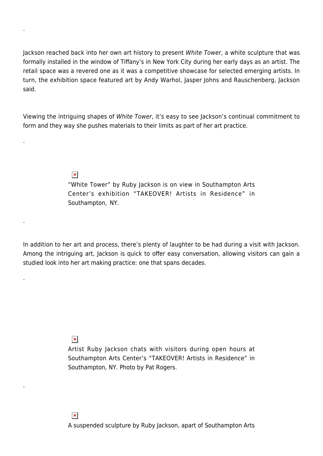Jackson reached back into her own art history to present White Tower, a white sculpture that was formally installed in the window of Tiffany's in New York City during her early days as an artist. The retail space was a revered one as it was a competitive showcase for selected emerging artists. In turn, the exhibition space featured art by Andy Warhol, Jasper Johns and Rauschenberg, Jackson said.

Viewing the intriguing shapes of White Tower, it's easy to see Jackson's continual commitment to form and they way she pushes materials to their limits as part of her art practice.

 $\pmb{\times}$ 

.

.

.

.

.

"White Tower" by Ruby Jackson is on view in Southampton Arts Center's exhibition "TAKEOVER! Artists in Residence" in Southampton, NY.

In addition to her art and process, there's plenty of laughter to be had during a visit with Jackson. Among the intriguing art, Jackson is quick to offer easy conversation, allowing visitors can gain a studied look into her art making practice: one that spans decades.

 $\pmb{\times}$ 

Artist Ruby Jackson chats with visitors during open hours at Southampton Arts Center's "TAKEOVER! Artists in Residence" in Southampton, NY. Photo by Pat Rogers.